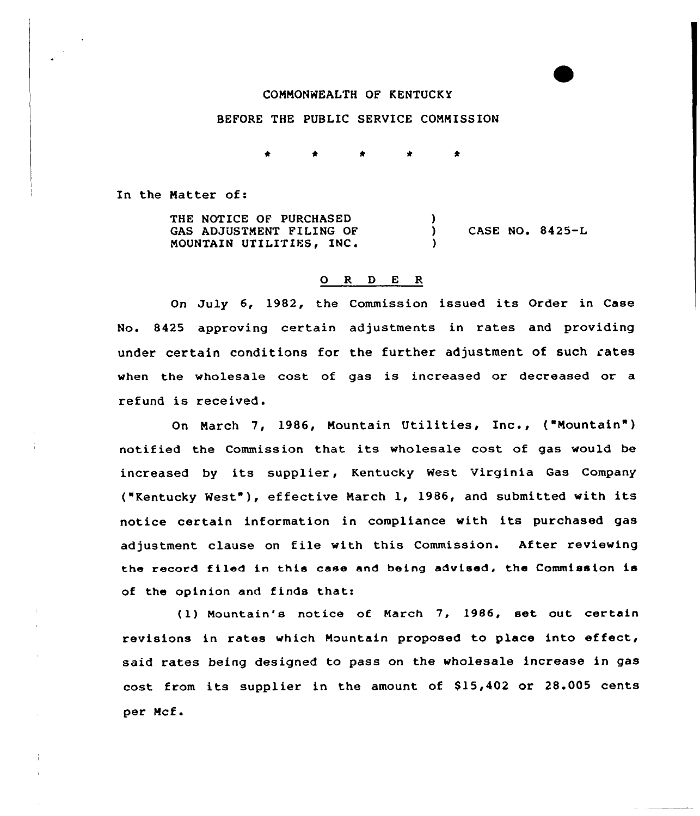## COMMONWEALTH OF KENTUCKY

## BEFORE THE PUBLIC SERVICE COMMISSION

In the Natter of:

THE NOTICE OF PURCHASED GAS ADJUSTMENT FILING OF MOUNTAIN UTILITIES, INC.  $\frac{1}{1}$ CASE NO.  $8425-L$  $\lambda$ 

#### 0 R <sup>D</sup> E R

On July 6, 1982, the Commission issued its Order in Case No. &425 approving certain adjustments in rates and providing under certain conditions for the further adjustment of such rates when the wholesale cost of gas is increased or decreased or a refund is received.

On March 7, 1986, Mountain Utilities, Inc., ("Mountain") notified the Commission that its wholesale cost of gas would be increased by its supplier, Kentucky West Virginia Gas Company ("Kentucky West" ), effective Narch 1, 19&6, and submitted with its notice certain information in compliance with its purchased gas adjustment clause on file with this Commission. After reviewing the record filad in this ease and being advised, the Commission is of the opinion and finds that:

(1) Mountain's notice of March 7, 1986, set out certain revisions in rates which Mountain proposed to place into effect, said rates being designed to pass on the wholesale increase in gas cost from its supplier in the amount of \$15,402 or 28.005 cents per Mcf.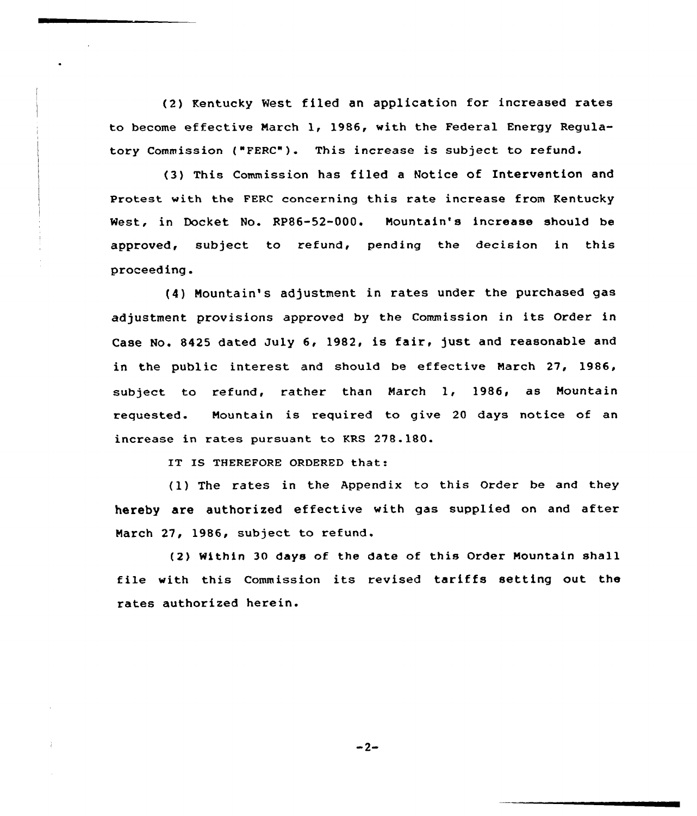(2) Kentucky Nest filed an application for increased rates to become effective March 1, 1986, with the Federal Energy Regulatory Commission ("FERC"). This increase is subject to refund.

(3) This Commission has filed a Notice of Intervention and Protest with the FERC concerning this rate increase from Kentucky West, in Docket No. RP86-52-000. Nountain's increase should be approved, subject to refund, pending the decision in this proceeding.

(4) Nountain's adjustment in rates under the purchased gas adjustment. provisions approved by the Commission in its Order in Case No. 8425 dated July 6, 1982, is fair, just and reasonable and in the public interest and should be effective March 27, 1986, subject. to refund, rather than March 1, 1986, as Nountain requested. Mountain is required to give 20 days notice of an increase in rates pursuant to KRS 278.180.

IT IS THEREFORE ORDERED that:

(1) The rates in the Appendix to this Order be and they hereby are authorized effective with gas supplied on and after Narch 27, 1986, subject to refund.

(2) Within 30 days of the date of this Order Mountain shall file with this Commission its revised tariffs setting out the rates authorized herein.

 $-2-$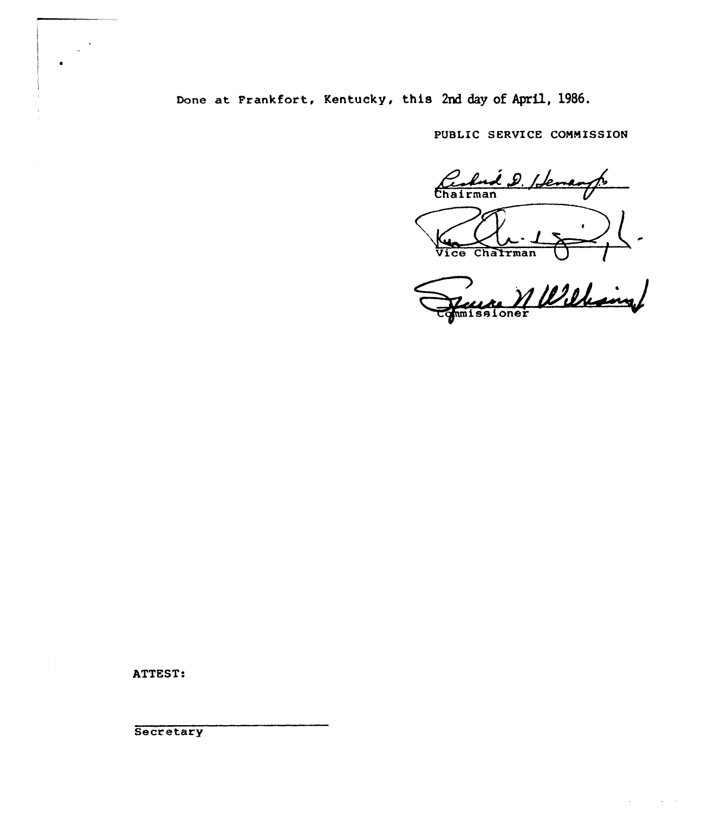# Done at Frankfort, Kentucky, this 2nd day of April, 1986.

PUBLIC SERVICE COMMISSION

Certain D. Iden Chairman  $\overline{\mathtt{vice}}$ 

M Williams

 $\sim$   $\sim$ 

ATTEST:

Secretary